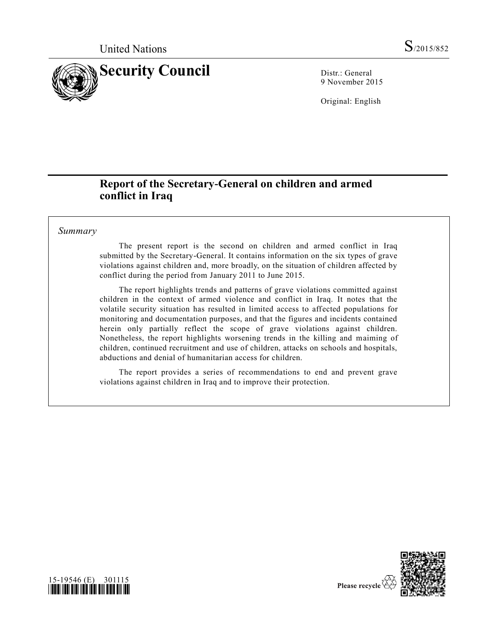

9 November 2015

Original: English

# **Report of the Secretary-General on children and armed conflict in Iraq**

## *Summary*

15-19546 (E) 301115 *\*1519546\**

The present report is the second on children and armed conflict in Iraq submitted by the Secretary-General. It contains information on the six types of grave violations against children and, more broadly, on the situation of children affected by conflict during the period from January 2011 to June 2015.

The report highlights trends and patterns of grave violations committed against children in the context of armed violence and conflict in Iraq. It notes that the volatile security situation has resulted in limited access to affected populations for monitoring and documentation purposes, and that the figures and incidents contained herein only partially reflect the scope of grave violations against children. Nonetheless, the report highlights worsening trends in the killing and maiming of children, continued recruitment and use of children, attacks on schools and hospitals, abductions and denial of humanitarian access for children.

The report provides a series of recommendations to end and prevent grave violations against children in Iraq and to improve their protection.



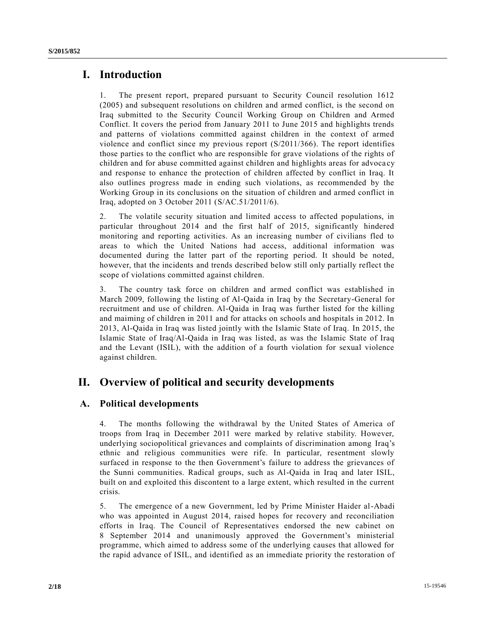# **I. Introduction**

1. The present report, prepared pursuant to Security Council resolution 1612 (2005) and subsequent resolutions on children and armed conflict, is the second on Iraq submitted to the Security Council Working Group on Children and Armed Conflict. It covers the period from January 2011 to June 2015 and highlights trends and patterns of violations committed against children in the context of armed violence and conflict since my previous report [\(S/2011/366\)](http://undocs.org/S/2011/366). The report identifies those parties to the conflict who are responsible for grave violations of the rights of children and for abuse committed against children and highlights areas for advoca cy and response to enhance the protection of children affected by conflict in Iraq. It also outlines progress made in ending such violations, as recommended by the Working Group in its conclusions on the situation of children and armed conflict in Iraq, adopted on 3 October 2011 [\(S/AC.51/2011/6\)](http://undocs.org/S/AC.51/2011/6).

2. The volatile security situation and limited access to affected populations, in particular throughout 2014 and the first half of 2015, significantly hindered monitoring and reporting activities. As an increasing number of civilians fled to areas to which the United Nations had access, additional information was documented during the latter part of the reporting period. It should be noted, however, that the incidents and trends described below still only partially reflect the scope of violations committed against children.

3. The country task force on children and armed conflict was established in March 2009, following the listing of Al-Qaida in Iraq by the Secretary-General for recruitment and use of children. Al-Qaida in Iraq was further listed for the killing and maiming of children in 2011 and for attacks on schools and hospitals in 2012. In 2013, Al-Qaida in Iraq was listed jointly with the Islamic State of Iraq. In 2015, the Islamic State of Iraq/Al-Qaida in Iraq was listed, as was the Islamic State of Iraq and the Levant (ISIL), with the addition of a fourth violation for sexual violence against children.

# **II. Overview of political and security developments**

# **A. Political developments**

4. The months following the withdrawal by the United States of America of troops from Iraq in December 2011 were marked by relative stability. However, underlying sociopolitical grievances and complaints of discrimination among Iraq's ethnic and religious communities were rife. In particular, resentment slowly surfaced in response to the then Government's failure to address the grievances of the Sunni communities. Radical groups, such as Al-Qaida in Iraq and later ISIL, built on and exploited this discontent to a large extent, which resulted in the current crisis.

5. The emergence of a new Government, led by Prime Minister Haider al-Abadi who was appointed in August 2014, raised hopes for recovery and reconciliation efforts in Iraq. The Council of Representatives endorsed the new cabinet on 8 September 2014 and unanimously approved the Government's ministerial programme, which aimed to address some of the underlying causes that allowed for the rapid advance of ISIL, and identified as an immediate priority the restoration of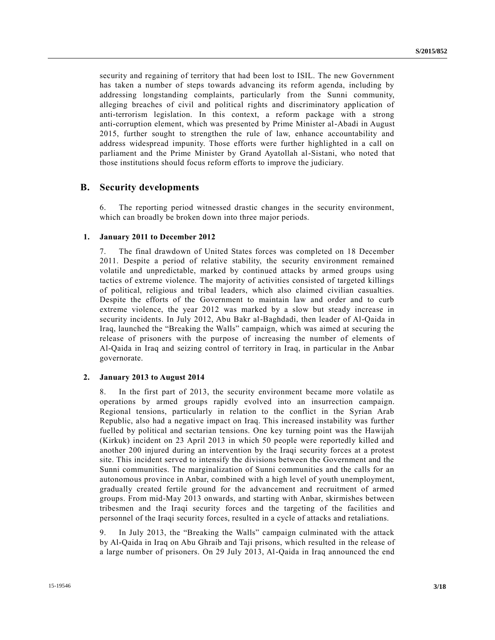security and regaining of territory that had been lost to ISIL. The new Government has taken a number of steps towards advancing its reform agenda, including by addressing longstanding complaints, particularly from the Sunni community, alleging breaches of civil and political rights and discriminatory application of anti-terrorism legislation. In this context, a reform package with a strong anti-corruption element, which was presented by Prime Minister al-Abadi in August 2015, further sought to strengthen the rule of law, enhance accountability and address widespread impunity. Those efforts were further highlighted in a call on parliament and the Prime Minister by Grand Ayatollah al-Sistani, who noted that those institutions should focus reform efforts to improve the judiciary.

### **B. Security developments**

6. The reporting period witnessed drastic changes in the security environment, which can broadly be broken down into three major periods.

#### **1. January 2011 to December 2012**

7. The final drawdown of United States forces was completed on 18 December 2011. Despite a period of relative stability, the security environment remained volatile and unpredictable, marked by continued attacks by armed groups using tactics of extreme violence. The majority of activities consisted of targeted killings of political, religious and tribal leaders, which also claimed civilian casualties. Despite the efforts of the Government to maintain law and order and to curb extreme violence, the year 2012 was marked by a slow but steady increase in security incidents. In July 2012, Abu Bakr al-Baghdadi, then leader of Al-Qaida in Iraq, launched the "Breaking the Walls" campaign, which was aimed at securing the release of prisoners with the purpose of increasing the number of elements of Al-Qaida in Iraq and seizing control of territory in Iraq, in particular in the Anbar governorate.

### **2. January 2013 to August 2014**

8. In the first part of 2013, the security environment became more volatile as operations by armed groups rapidly evolved into an insurrection campaign. Regional tensions, particularly in relation to the conflict in the Syrian Arab Republic, also had a negative impact on Iraq. This increased instability was further fuelled by political and sectarian tensions. One key turning point was the Hawijah (Kirkuk) incident on 23 April 2013 in which 50 people were reportedly killed and another 200 injured during an intervention by the Iraqi security forces at a protest site. This incident served to intensify the divisions between the Government and the Sunni communities. The marginalization of Sunni communities and the calls for an autonomous province in Anbar, combined with a high level of youth unemployment, gradually created fertile ground for the advancement and recruitment of armed groups. From mid-May 2013 onwards, and starting with Anbar, skirmishes between tribesmen and the Iraqi security forces and the targeting of the facilities and personnel of the Iraqi security forces, resulted in a cycle of attacks and retaliations.

9. In July 2013, the "Breaking the Walls" campaign culminated with the attack by Al-Qaida in Iraq on Abu Ghraib and Taji prisons, which resulted in the release of a large number of prisoners. On 29 July 2013, Al-Qaida in Iraq announced the end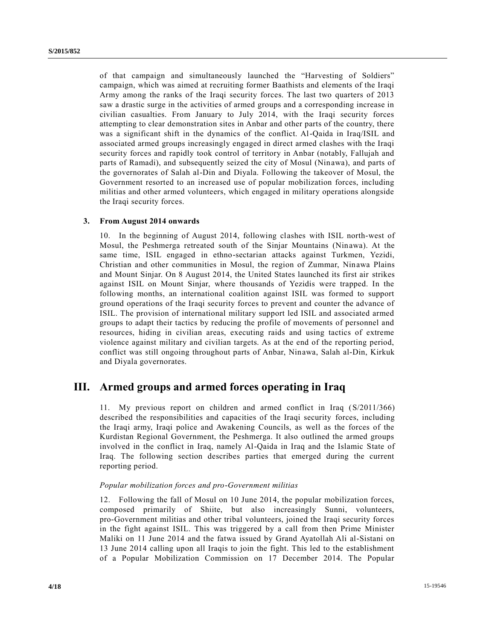of that campaign and simultaneously launched the "Harvesting of Soldiers" campaign, which was aimed at recruiting former Baathists and elements of the Iraqi Army among the ranks of the Iraqi security forces. The last two quarters of 2013 saw a drastic surge in the activities of armed groups and a corresponding increase in civilian casualties. From January to July 2014, with the Iraqi security forces attempting to clear demonstration sites in Anbar and other parts of the country, there was a significant shift in the dynamics of the conflict. Al-Qaida in Iraq/ISIL and associated armed groups increasingly engaged in direct armed clashes with the Iraqi security forces and rapidly took control of territory in Anbar (notably, Fallujah and parts of Ramadi), and subsequently seized the city of Mosul (Ninawa), and parts of the governorates of Salah al-Din and Diyala. Following the takeover of Mosul, the Government resorted to an increased use of popular mobilization forces, including militias and other armed volunteers, which engaged in military operations alongside the Iraqi security forces.

### **3. From August 2014 onwards**

10. In the beginning of August 2014, following clashes with ISIL north-west of Mosul, the Peshmerga retreated south of the Sinjar Mountains (Ninawa). At the same time, ISIL engaged in ethno-sectarian attacks against Turkmen, Yezidi, Christian and other communities in Mosul, the region of Zummar, Ninawa Plains and Mount Sinjar. On 8 August 2014, the United States launched its first air strikes against ISIL on Mount Sinjar, where thousands of Yezidis were trapped. In the following months, an international coalition against ISIL was formed to support ground operations of the Iraqi security forces to prevent and counter the advance of ISIL. The provision of international military support led ISIL and associated armed groups to adapt their tactics by reducing the profile of movements of personnel and resources, hiding in civilian areas, executing raids and using tactics of extreme violence against military and civilian targets. As at the end of the reporting period, conflict was still ongoing throughout parts of Anbar, Ninawa, Salah al-Din, Kirkuk and Diyala governorates.

# **III. Armed groups and armed forces operating in Iraq**

11. My previous report on children and armed conflict in Iraq [\(S/2011/366\)](http://undocs.org/S/2011/366) described the responsibilities and capacities of the Iraqi security forces, including the Iraqi army, Iraqi police and Awakening Councils, as well as the forces of the Kurdistan Regional Government, the Peshmerga. It also outlined the armed groups involved in the conflict in Iraq, namely Al-Qaida in Iraq and the Islamic State of Iraq. The following section describes parties that emerged during the current reporting period.

### *Popular mobilization forces and pro-Government militias*

12. Following the fall of Mosul on 10 June 2014, the popular mobilization forces, composed primarily of Shiite, but also increasingly Sunni, volunteers, pro-Government militias and other tribal volunteers, joined the Iraqi security forces in the fight against ISIL. This was triggered by a call from then Prime Minister Maliki on 11 June 2014 and the fatwa issued by Grand Ayatollah Ali al-Sistani on 13 June 2014 calling upon all Iraqis to join the fight. This led to the establishment of a Popular Mobilization Commission on 17 December 2014. The Popular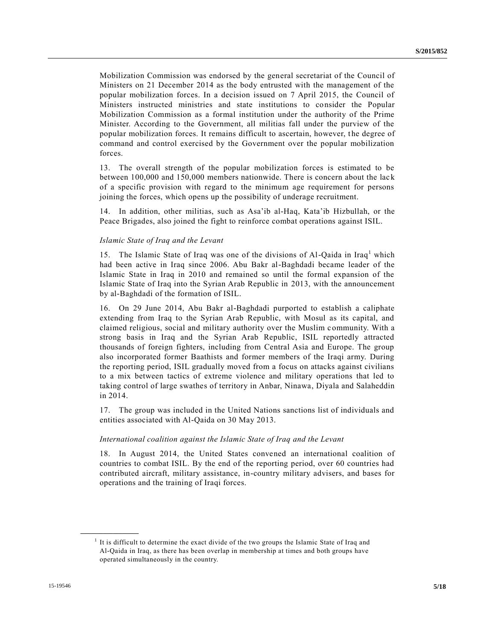Mobilization Commission was endorsed by the general secretariat of the Council of Ministers on 21 December 2014 as the body entrusted with the management of the popular mobilization forces. In a decision issued on 7 April 2015, the Council of Ministers instructed ministries and state institutions to consider the Popular Mobilization Commission as a formal institution under the authority of the Prime Minister. According to the Government, all militias fall under the purview of the popular mobilization forces. It remains difficult to ascertain, however, the degree of command and control exercised by the Government over the popular mobilization forces.

13. The overall strength of the popular mobilization forces is estimated to be between 100,000 and 150,000 members nationwide. There is concern about the lack of a specific provision with regard to the minimum age requirement for persons joining the forces, which opens up the possibility of underage recruitment.

14. In addition, other militias, such as Asa'ib al-Haq, Kata'ib Hizbullah, or the Peace Brigades, also joined the fight to reinforce combat operations against ISIL.

#### *Islamic State of Iraq and the Levant*

15. The Islamic State of Iraq was one of the divisions of Al-Qaida in  $Iraq<sup>1</sup>$  which had been active in Iraq since 2006. Abu Bakr al-Baghdadi became leader of the Islamic State in Iraq in 2010 and remained so until the formal expansion of the Islamic State of Iraq into the Syrian Arab Republic in 2013, with the announcement by al-Baghdadi of the formation of ISIL.

16. On 29 June 2014, Abu Bakr al-Baghdadi purported to establish a caliphate extending from Iraq to the Syrian Arab Republic, with Mosul as its capital, and claimed religious, social and military authority over the Muslim community. With a strong basis in Iraq and the Syrian Arab Republic, ISIL reportedly attracted thousands of foreign fighters, including from Central Asia and Europe. The group also incorporated former Baathists and former members of the Iraqi army. During the reporting period, ISIL gradually moved from a focus on attacks against civilians to a mix between tactics of extreme violence and military operations that led to taking control of large swathes of territory in Anbar, Ninawa, Diyala and Salaheddin in 2014.

17. The group was included in the United Nations sanctions list of individuals and entities associated with Al-Qaida on 30 May 2013.

#### *International coalition against the Islamic State of Iraq and the Levant*

18. In August 2014, the United States convened an international coalition of countries to combat ISIL. By the end of the reporting period, over 60 countries had contributed aircraft, military assistance, in-country military advisers, and bases for operations and the training of Iraqi forces.

 $<sup>1</sup>$  It is difficult to determine the exact divide of the two groups the Islamic State of Iraq and</sup> Al-Qaida in Iraq, as there has been overlap in membership at times and both groups have operated simultaneously in the country.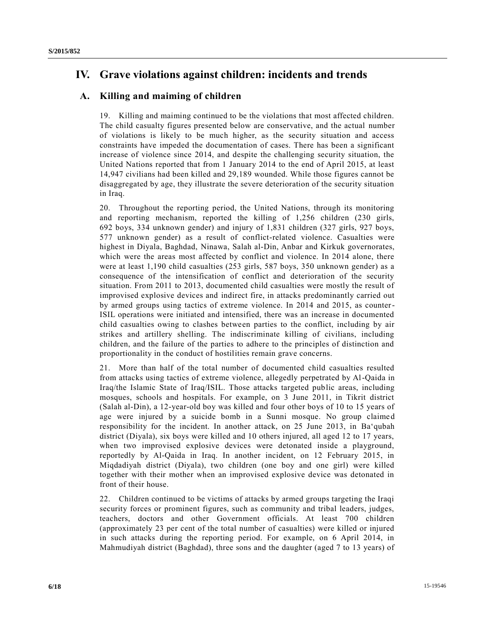# **IV. Grave violations against children: incidents and trends**

## **A. Killing and maiming of children**

19. Killing and maiming continued to be the violations that most affected children. The child casualty figures presented below are conservative, and the actual number of violations is likely to be much higher, as the security situation and access constraints have impeded the documentation of cases. There has been a significant increase of violence since 2014, and despite the challenging security situation, the United Nations reported that from 1 January 2014 to the end of April 2015, at least 14,947 civilians had been killed and 29,189 wounded. While those figures cannot be disaggregated by age, they illustrate the severe deterioration of the security situation in Iraq.

20. Throughout the reporting period, the United Nations, through its monitoring and reporting mechanism, reported the killing of 1,256 children (230 girls, 692 boys, 334 unknown gender) and injury of 1,831 children (327 girls, 927 boys, 577 unknown gender) as a result of conflict-related violence. Casualties were highest in Diyala, Baghdad, Ninawa, Salah al-Din, Anbar and Kirkuk governorates, which were the areas most affected by conflict and violence. In 2014 alone, there were at least 1,190 child casualties (253 girls, 587 boys, 350 unknown gender) as a consequence of the intensification of conflict and deterioration of the security situation. From 2011 to 2013, documented child casualties were mostly the result of improvised explosive devices and indirect fire, in attacks predominantly carried out by armed groups using tactics of extreme violence. In 2014 and 2015, as counter-ISIL operations were initiated and intensified, there was an increase in documented child casualties owing to clashes between parties to the conflict, including by air strikes and artillery shelling. The indiscriminate killing of civilians, including children, and the failure of the parties to adhere to the principles of distinction and proportionality in the conduct of hostilities remain grave concerns.

21. More than half of the total number of documented child casualties resulted from attacks using tactics of extreme violence, allegedly perpetrated by Al-Qaida in Iraq/the Islamic State of Iraq/ISIL. Those attacks targeted public areas, including mosques, schools and hospitals. For example, on 3 June 2011, in Tikrit district (Salah al-Din), a 12-year-old boy was killed and four other boys of 10 to 15 years of age were injured by a suicide bomb in a Sunni mosque. No group claime d responsibility for the incident. In another attack, on 25 June 2013, in Ba'qubah district (Diyala), six boys were killed and 10 others injured, all aged 12 to 17 years, when two improvised explosive devices were detonated inside a playground, reportedly by Al-Qaida in Iraq. In another incident, on 12 February 2015, in Miqdadiyah district (Diyala), two children (one boy and one girl) were killed together with their mother when an improvised explosive device was detonated in front of their house.

22. Children continued to be victims of attacks by armed groups targeting the Iraqi security forces or prominent figures, such as community and tribal leaders, judges, teachers, doctors and other Government officials. At least 700 children (approximately 23 per cent of the total number of casualties) were killed or injured in such attacks during the reporting period. For example, on 6 April 2014, in Mahmudiyah district (Baghdad), three sons and the daughter (aged 7 to 13 years) of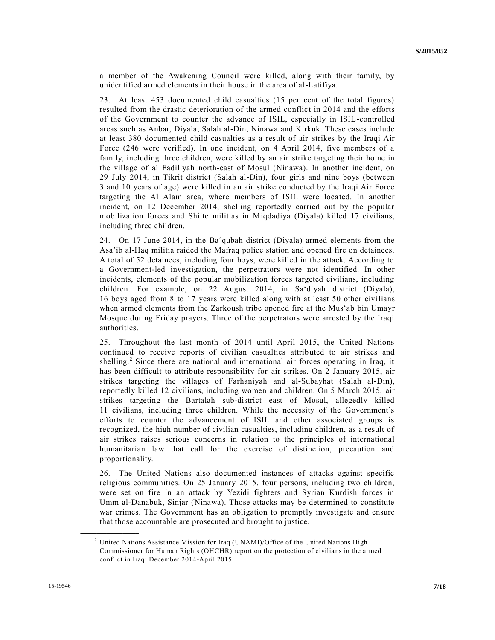a member of the Awakening Council were killed, along with their family, by unidentified armed elements in their house in the area of al-Latifiya.

23. At least 453 documented child casualties (15 per cent of the total figures) resulted from the drastic deterioration of the armed conflict in 2014 and the efforts of the Government to counter the advance of ISIL, especially in ISIL-controlled areas such as Anbar, Diyala, Salah al-Din, Ninawa and Kirkuk. These cases include at least 380 documented child casualties as a result of air strikes by the Iraqi Air Force (246 were verified). In one incident, on 4 April 2014, five members of a family, including three children, were killed by an air strike targeting their home in the village of al Fadiliyah north-east of Mosul (Ninawa). In another incident, on 29 July 2014, in Tikrit district (Salah al-Din), four girls and nine boys (between 3 and 10 years of age) were killed in an air strike conducted by the Iraqi Air Force targeting the Al Alam area, where members of ISIL were located. In another incident, on 12 December 2014, shelling reportedly carried out by the popular mobilization forces and Shiite militias in Miqdadiya (Diyala) killed 17 civilians, including three children.

24. On 17 June 2014, in the Ba'qubah district (Diyala) armed elements from the Asa'ib al-Haq militia raided the Mafraq police station and opened fire on detainees. A total of 52 detainees, including four boys, were killed in the attack. According to a Government-led investigation, the perpetrators were not identified. In other incidents, elements of the popular mobilization forces targeted civilians, including children. For example, on 22 August 2014, in Sa'diyah district (Diyala), 16 boys aged from 8 to 17 years were killed along with at least 50 other civilians when armed elements from the Zarkoush tribe opened fire at the Mus'ab bin Umayr Mosque during Friday prayers. Three of the perpetrators were arrested by the Iraqi authorities.

25. Throughout the last month of 2014 until April 2015, the United Nations continued to receive reports of civilian casualties attributed to air strikes and shelling.<sup>2</sup> Since there are national and international air forces operating in Iraq, it has been difficult to attribute responsibility for air strikes. On 2 January 2015, air strikes targeting the villages of Farhaniyah and al-Subayhat (Salah al-Din), reportedly killed 12 civilians, including women and children. On 5 March 2015, air strikes targeting the Bartalah sub-district east of Mosul, allegedly killed 11 civilians, including three children. While the necessity of the Government's efforts to counter the advancement of ISIL and other associated groups is recognized, the high number of civilian casualties, including children, as a result of air strikes raises serious concerns in relation to the principles of international humanitarian law that call for the exercise of distinction, precaution and proportionality.

26. The United Nations also documented instances of attacks against specific religious communities. On 25 January 2015, four persons, including two children, were set on fire in an attack by Yezidi fighters and Syrian Kurdish forces in Umm al-Danabuk, Sinjar (Ninawa). Those attacks may be determined to constitute war crimes. The Government has an obligation to promptly investigate and ensure that those accountable are prosecuted and brought to justice.

<sup>&</sup>lt;sup>2</sup> United Nations Assistance Mission for Iraq (UNAMI)/Office of the United Nations High Commissioner for Human Rights (OHCHR) report on the protection of civilia ns in the armed conflict in Iraq: December 2014-April 2015.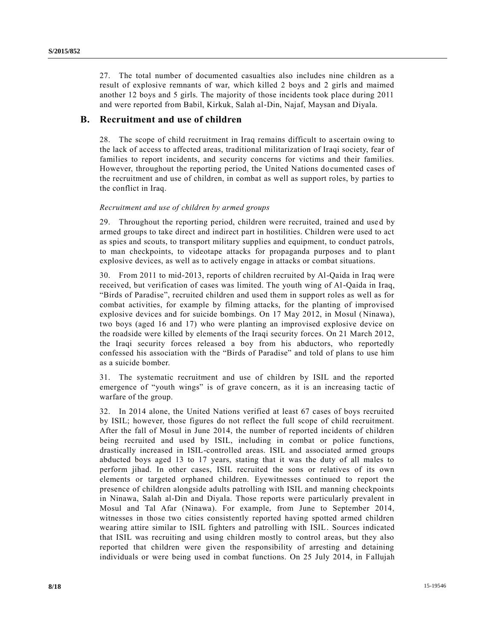27. The total number of documented casualties also includes nine children as a result of explosive remnants of war, which killed 2 boys and 2 girls and maimed another 12 boys and 5 girls. The majority of those incidents took place during 2011 and were reported from Babil, Kirkuk, Salah al-Din, Najaf, Maysan and Diyala.

## **B. Recruitment and use of children**

28. The scope of child recruitment in Iraq remains difficult to a scertain owing to the lack of access to affected areas, traditional militarization of Iraqi society, fear of families to report incidents, and security concerns for victims and their families. However, throughout the reporting period, the United Nations documented cases of the recruitment and use of children, in combat as well as support roles, by parties to the conflict in Iraq.

### *Recruitment and use of children by armed groups*

29. Throughout the reporting period, children were recruited, trained and use d by armed groups to take direct and indirect part in hostilities. Children were used to act as spies and scouts, to transport military supplies and equipment, to conduct patrols, to man checkpoints, to videotape attacks for propaganda purposes and to plant explosive devices, as well as to actively engage in attacks or combat situations.

30. From 2011 to mid-2013, reports of children recruited by Al-Qaida in Iraq were received, but verification of cases was limited. The youth wing of Al-Qaida in Iraq, "Birds of Paradise", recruited children and used them in support roles as well as for combat activities, for example by filming attacks, for the planting of improvised explosive devices and for suicide bombings. On 17 May 2012, in Mosul (Ninawa), two boys (aged 16 and 17) who were planting an improvised explosive device on the roadside were killed by elements of the Iraqi security forces. On 21 March 2012, the Iraqi security forces released a boy from his abductors, who reportedly confessed his association with the "Birds of Paradise" and told of plans to use him as a suicide bomber.

31. The systematic recruitment and use of children by ISIL and the reported emergence of "youth wings" is of grave concern, as it is an increasing tactic of warfare of the group.

32. In 2014 alone, the United Nations verified at least 67 cases of boys recruited by ISIL; however, those figures do not reflect the full scope of child recruitment. After the fall of Mosul in June 2014, the number of reported incidents of children being recruited and used by ISIL, including in combat or police functions, drastically increased in ISIL-controlled areas. ISIL and associated armed groups abducted boys aged 13 to 17 years, stating that it was the duty of all males to perform jihad. In other cases, ISIL recruited the sons or relatives of its own elements or targeted orphaned children. Eyewitnesses continued to report the presence of children alongside adults patrolling with ISIL and manning checkpoints in Ninawa, Salah al-Din and Diyala. Those reports were particularly prevalent in Mosul and Tal Afar (Ninawa). For example, from June to September 2014, witnesses in those two cities consistently reported having spotted armed children wearing attire similar to ISIL fighters and patrolling with ISIL. Sources indicated that ISIL was recruiting and using children mostly to control areas, but they also reported that children were given the responsibility of arresting and detaining individuals or were being used in combat functions. On 25 July 2014, in Fallujah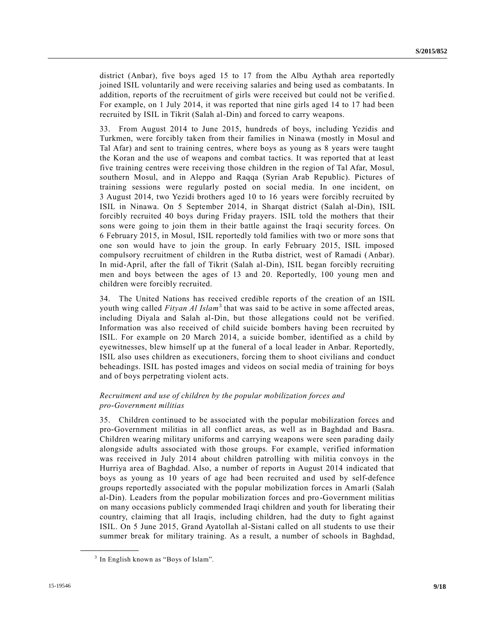district (Anbar), five boys aged 15 to 17 from the Albu Aythah area reportedly joined ISIL voluntarily and were receiving salaries and being used as combatants. In addition, reports of the recruitment of girls were received but could not be verifie d. For example, on 1 July 2014, it was reported that nine girls aged 14 to 17 had been recruited by ISIL in Tikrit (Salah al-Din) and forced to carry weapons.

33. From August 2014 to June 2015, hundreds of boys, including Yezidis and Turkmen, were forcibly taken from their families in Ninawa (mostly in Mosul and Tal Afar) and sent to training centres, where boys as young as 8 years were taught the Koran and the use of weapons and combat tactics. It was reported that at least five training centres were receiving those children in the region of Tal Afar, Mosul, southern Mosul, and in Aleppo and Raqqa (Syrian Arab Republic). Pictures of training sessions were regularly posted on social media. In one incident, on 3 August 2014, two Yezidi brothers aged 10 to 16 years were forcibly recruited by ISIL in Ninawa. On 5 September 2014, in Sharqat district (Salah al-Din), ISIL forcibly recruited 40 boys during Friday prayers. ISIL told the mothers that their sons were going to join them in their battle against the Iraqi security forces. On 6 February 2015, in Mosul, ISIL reportedly told families with two or more sons that one son would have to join the group. In early February 2015, ISIL imposed compulsory recruitment of children in the Rutba district, west of Ramadi (Anbar). In mid-April, after the fall of Tikrit (Salah al-Din), ISIL began forcibly recruiting men and boys between the ages of 13 and 20. Reportedly, 100 young men and children were forcibly recruited.

34. The United Nations has received credible reports of the creation of an ISIL youth wing called *Fityan Al Islam*<sup>3</sup> that was said to be active in some affected areas, including Diyala and Salah al-Din, but those allegations could not be verified. Information was also received of child suicide bombers having been recruited by ISIL. For example on 20 March 2014, a suicide bomber, identified as a child by eyewitnesses, blew himself up at the funeral of a local leader in Anbar. Reportedly, ISIL also uses children as executioners, forcing them to shoot civilians and conduct beheadings. ISIL has posted images and videos on social media of training for boys and of boys perpetrating violent acts.

### *Recruitment and use of children by the popular mobilization forces and pro-Government militias*

35. Children continued to be associated with the popular mobilization forces and pro-Government militias in all conflict areas, as well as in Baghdad and Basra. Children wearing military uniforms and carrying weapons were seen parading daily alongside adults associated with those groups. For example, verified information was received in July 2014 about children patrolling with militia convoys in the Hurriya area of Baghdad. Also, a number of reports in August 2014 indicated that boys as young as 10 years of age had been recruited and used by self-defence groups reportedly associated with the popular mobilization forces in Amarli (Salah al-Din). Leaders from the popular mobilization forces and pro-Government militias on many occasions publicly commended Iraqi children and youth for liberating their country, claiming that all Iraqis, including children, had the duty to fight against ISIL. On 5 June 2015, Grand Ayatollah al-Sistani called on all students to use their summer break for military training. As a result, a number of schools in Baghdad,

<sup>&</sup>lt;sup>3</sup> In English known as "Boys of Islam".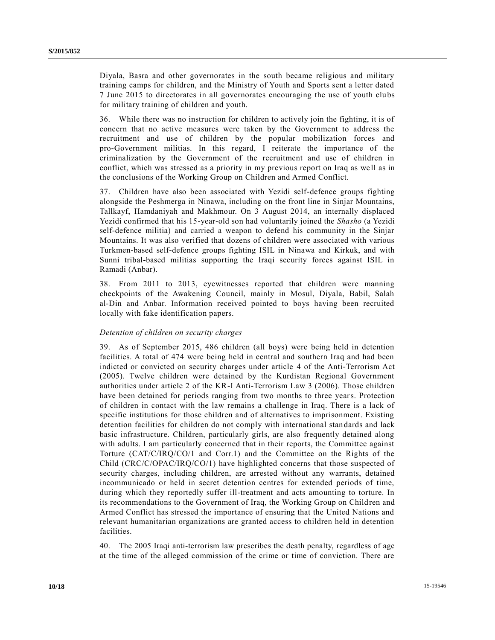Diyala, Basra and other governorates in the south became religious and military training camps for children, and the Ministry of Youth and Sports sent a letter dated 7 June 2015 to directorates in all governorates encouraging the use of youth clubs for military training of children and youth.

36. While there was no instruction for children to actively join the fighting, it is of concern that no active measures were taken by the Government to address the recruitment and use of children by the popular mobilization forces and pro-Government militias. In this regard, I reiterate the importance of the criminalization by the Government of the recruitment and use of children in conflict, which was stressed as a priority in my previous report on Iraq as well as in the conclusions of the Working Group on Children and Armed Conflict.

37. Children have also been associated with Yezidi self-defence groups fighting alongside the Peshmerga in Ninawa, including on the front line in Sinjar Mountains, Tallkayf, Hamdaniyah and Makhmour. On 3 August 2014, an internally displaced Yezidi confirmed that his 15-year-old son had voluntarily joined the *Shasho* (a Yezidi self-defence militia) and carried a weapon to defend his community in the Sinjar Mountains. It was also verified that dozens of children were associated with various Turkmen-based self-defence groups fighting ISIL in Ninawa and Kirkuk, and with Sunni tribal-based militias supporting the Iraqi security forces against ISIL in Ramadi (Anbar).

38. From 2011 to 2013, eyewitnesses reported that children were manning checkpoints of the Awakening Council, mainly in Mosul, Diyala, Babil, Salah al-Din and Anbar. Information received pointed to boys having been recruited locally with fake identification papers.

#### *Detention of children on security charges*

39. As of September 2015, 486 children (all boys) were being held in detention facilities. A total of 474 were being held in central and southern Iraq and had been indicted or convicted on security charges under article 4 of the Anti-Terrorism Act (2005). Twelve children were detained by the Kurdistan Regional Government authorities under article 2 of the KR-I Anti-Terrorism Law 3 (2006). Those children have been detained for periods ranging from two months to three years. Protection of children in contact with the law remains a challenge in Iraq. There is a lack of specific institutions for those children and of alternatives to imprisonment. Existing detention facilities for children do not comply with international standards and lack basic infrastructure. Children, particularly girls, are also frequently detained along with adults. I am particularly concerned that in their reports, the Committee against Torture [\(CAT/C/IRQ/CO/1](http://undocs.org/CAT/C/IRQ/CO/1) and Corr.1) and the Committee on the Rights of the Child [\(CRC/C/OPAC/IRQ/CO/1\)](http://undocs.org/CRC/C/OPAC/IRQ/CO/1) have highlighted concerns that those suspected of security charges, including children, are arrested without any warrants, detained incommunicado or held in secret detention centres for extended periods of time, during which they reportedly suffer ill-treatment and acts amounting to torture. In its recommendations to the Government of Iraq, the Working Group on Children and Armed Conflict has stressed the importance of ensuring that the United Nations and relevant humanitarian organizations are granted access to children held in detention facilities.

40. The 2005 Iraqi anti-terrorism law prescribes the death penalty, regardless of age at the time of the alleged commission of the crime or time of conviction. There are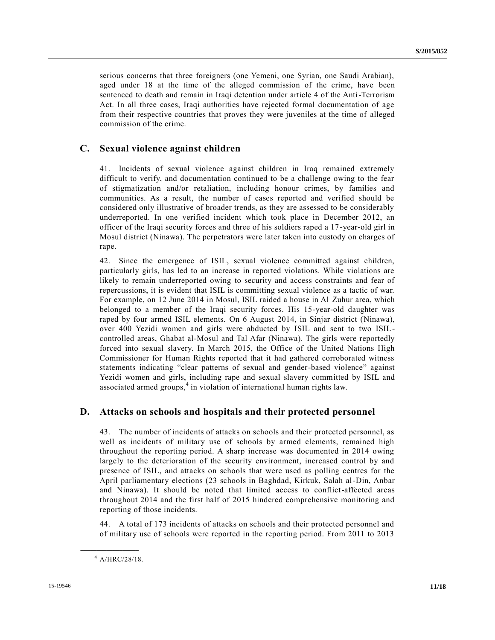serious concerns that three foreigners (one Yemeni, one Syrian, one Saudi Arabian), aged under 18 at the time of the alleged commission of the crime, have been sentenced to death and remain in Iraqi detention under article 4 of the Anti-Terrorism Act. In all three cases, Iraqi authorities have rejected formal documentation of age from their respective countries that proves they were juveniles at the time of alleged commission of the crime.

## **C. Sexual violence against children**

41. Incidents of sexual violence against children in Iraq remained extremely difficult to verify, and documentation continued to be a challenge owing to the fear of stigmatization and/or retaliation, including honour crimes, by families and communities. As a result, the number of cases reported and verified should be considered only illustrative of broader trends, as they are assessed to be considerably underreported. In one verified incident which took place in December 2012, an officer of the Iraqi security forces and three of his soldiers raped a 17 -year-old girl in Mosul district (Ninawa). The perpetrators were later taken into custody on charges of rape.

42. Since the emergence of ISIL, sexual violence committed against children, particularly girls, has led to an increase in reported violations. While violations are likely to remain underreported owing to security and access constraints and fear of repercussions, it is evident that ISIL is committing sexual violence as a tactic of war. For example, on 12 June 2014 in Mosul, ISIL raided a house in Al Zuhur area, which belonged to a member of the Iraqi security forces. His 15-year-old daughter was raped by four armed ISIL elements. On 6 August 2014, in Sinjar district (Ninawa), over 400 Yezidi women and girls were abducted by ISIL and sent to two ISILcontrolled areas, Ghabat al-Mosul and Tal Afar (Ninawa). The girls were reportedly forced into sexual slavery. In March 2015, the Office of the United Nations High Commissioner for Human Rights reported that it had gathered corroborated witness statements indicating "clear patterns of sexual and gender-based violence" against Yezidi women and girls, including rape and sexual slavery committed by ISIL and associated armed groups,<sup>4</sup> in violation of international human rights law.

### **D. Attacks on schools and hospitals and their protected personnel**

43. The number of incidents of attacks on schools and their protected personnel, as well as incidents of military use of schools by armed elements, remained high throughout the reporting period. A sharp increase was documented in 2014 owing largely to the deterioration of the security environment, increased control by and presence of ISIL, and attacks on schools that were used as polling centres for the April parliamentary elections (23 schools in Baghdad, Kirkuk, Salah al-Din, Anbar and Ninawa). It should be noted that limited access to conflict-affected areas throughout 2014 and the first half of 2015 hindered comprehensive monitoring and reporting of those incidents.

44. A total of 173 incidents of attacks on schools and their protected personnel and of military use of schools were reported in the reporting period. From 2011 to 2013

 $4$  A/HRC/28/18.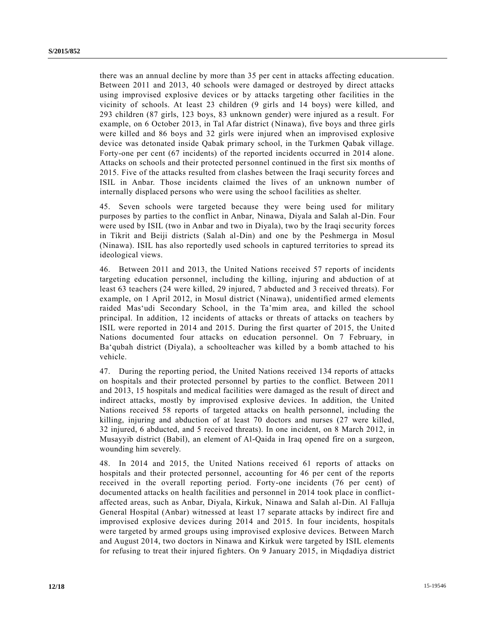there was an annual decline by more than 35 per cent in attacks affecting education. Between 2011 and 2013, 40 schools were damaged or destroyed by direct attacks using improvised explosive devices or by attacks targeting other facilities in the vicinity of schools. At least 23 children (9 girls and 14 boys) were killed, and 293 children (87 girls, 123 boys, 83 unknown gender) were injured as a result. For example, on 6 October 2013, in Tal Afar district (Ninawa), five boys and three girls were killed and 86 boys and 32 girls were injured when an improvised explosive device was detonated inside Qabak primary school, in the Turkmen Qabak village. Forty-one per cent (67 incidents) of the reported incidents occurred in 2014 alone. Attacks on schools and their protected personnel continued in the first six months of 2015. Five of the attacks resulted from clashes between the Iraqi security forces and ISIL in Anbar. Those incidents claimed the lives of an unknown number of internally displaced persons who were using the school facilities as shelter.

45. Seven schools were targeted because they were being used for military purposes by parties to the conflict in Anbar, Ninawa, Diyala and Salah al-Din. Four were used by ISIL (two in Anbar and two in Diyala), two by the Iraqi security forces in Tikrit and Beiji districts (Salah al-Din) and one by the Peshmerga in Mosul (Ninawa). ISIL has also reportedly used schools in captured territories to spread its ideological views.

46. Between 2011 and 2013, the United Nations received 57 reports of incidents targeting education personnel, including the killing, injuring and abduction of at least 63 teachers (24 were killed, 29 injured, 7 abducted and 3 received threats). For example, on 1 April 2012, in Mosul district (Ninawa), unidentified armed elements raided Mas'udi Secondary School, in the Ta'mim area, and killed the school principal. In addition, 12 incidents of attacks or threats of attacks on teachers by ISIL were reported in 2014 and 2015. During the first quarter of 2015, the Unite d Nations documented four attacks on education personnel. On 7 February, in Ba'qubah district (Diyala), a schoolteacher was killed by a bomb attached to his vehicle.

47. During the reporting period, the United Nations received 134 reports of attacks on hospitals and their protected personnel by parties to the conflict. Between 2011 and 2013, 15 hospitals and medical facilities were damaged as the result of direct and indirect attacks, mostly by improvised explosive devices. In addition, the United Nations received 58 reports of targeted attacks on health personnel, including the killing, injuring and abduction of at least 70 doctors and nurses (27 were killed, 32 injured, 6 abducted, and 5 received threats). In one incident, on 8 March 2012, in Musayyib district (Babil), an element of Al-Qaida in Iraq opened fire on a surgeon, wounding him severely.

48. In 2014 and 2015, the United Nations received 61 reports of attacks on hospitals and their protected personnel, accounting for 46 per cent of the reports received in the overall reporting period. Forty-one incidents (76 per cent) of documented attacks on health facilities and personnel in 2014 took place in conflictaffected areas, such as Anbar, Diyala, Kirkuk, Ninawa and Salah al-Din. Al Falluja General Hospital (Anbar) witnessed at least 17 separate attacks by indirect fire and improvised explosive devices during 2014 and 2015. In four incidents, hospitals were targeted by armed groups using improvised explosive devices. Between March and August 2014, two doctors in Ninawa and Kirkuk were targeted by ISIL elements for refusing to treat their injured fighters. On 9 January 2015, in Miqdadiya district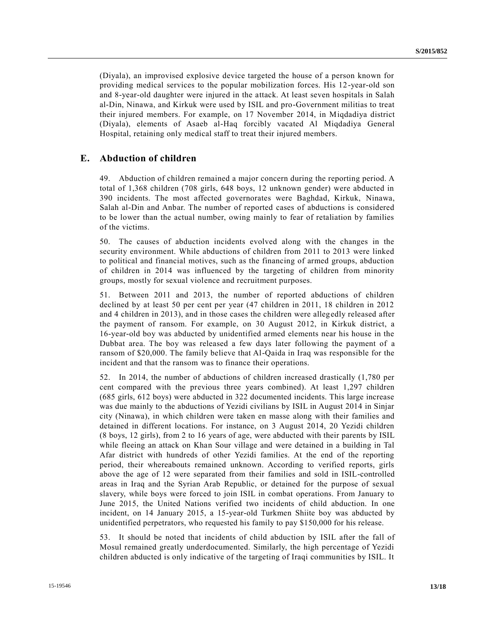(Diyala), an improvised explosive device targeted the house of a person known for providing medical services to the popular mobilization forces. His 12-year-old son and 8-year-old daughter were injured in the attack. At least seven hospitals in Salah al-Din, Ninawa, and Kirkuk were used by ISIL and pro-Government militias to treat their injured members. For example, on 17 November 2014, in Miqdadiya district (Diyala), elements of Asaeb al-Haq forcibly vacated Al Miqdadiya General Hospital, retaining only medical staff to treat their injured members.

### **E. Abduction of children**

49. Abduction of children remained a major concern during the reporting period. A total of 1,368 children (708 girls, 648 boys, 12 unknown gender) were abducted in 390 incidents. The most affected governorates were Baghdad, Kirkuk, Ninawa, Salah al-Din and Anbar. The number of reported cases of abductions is considered to be lower than the actual number, owing mainly to fear of retaliation by families of the victims.

50. The causes of abduction incidents evolved along with the changes in the security environment. While abductions of children from 2011 to 2013 were linked to political and financial motives, such as the financing of armed groups, abduction of children in 2014 was influenced by the targeting of children from minority groups, mostly for sexual violence and recruitment purposes.

51. Between 2011 and 2013, the number of reported abductions of children declined by at least 50 per cent per year (47 children in 2011, 18 children in 2012 and 4 children in 2013), and in those cases the children were allegedly released after the payment of ransom. For example, on 30 August 2012, in Kirkuk district, a 16-year-old boy was abducted by unidentified armed elements near his house in the Dubbat area. The boy was released a few days later following the payment of a ransom of \$20,000. The family believe that Al-Qaida in Iraq was responsible for the incident and that the ransom was to finance their operations.

52. In 2014, the number of abductions of children increased drastically (1,780 per cent compared with the previous three years combined). At least 1,297 children (685 girls, 612 boys) were abducted in 322 documented incidents. This large increase was due mainly to the abductions of Yezidi civilians by ISIL in August 2014 in Sinjar city (Ninawa), in which children were taken en masse along with their families and detained in different locations. For instance, on 3 August 2014, 20 Yezidi children (8 boys, 12 girls), from 2 to 16 years of age, were abducted with their parents by ISIL while fleeing an attack on Khan Sour village and were detained in a building in Tal Afar district with hundreds of other Yezidi families. At the end of the reporting period, their whereabouts remained unknown. According to verified reports, girls above the age of 12 were separated from their families and sold in ISIL-controlled areas in Iraq and the Syrian Arab Republic, or detained for the purpose of sexual slavery, while boys were forced to join ISIL in combat operations. From January to June 2015, the United Nations verified two incidents of child abduction. In one incident, on 14 January 2015, a 15-year-old Turkmen Shiite boy was abducted by unidentified perpetrators, who requested his family to pay \$150,000 for his release.

53. It should be noted that incidents of child abduction by ISIL after the fall of Mosul remained greatly underdocumented. Similarly, the high percentage of Yezidi children abducted is only indicative of the targeting of Iraqi communities by ISIL. It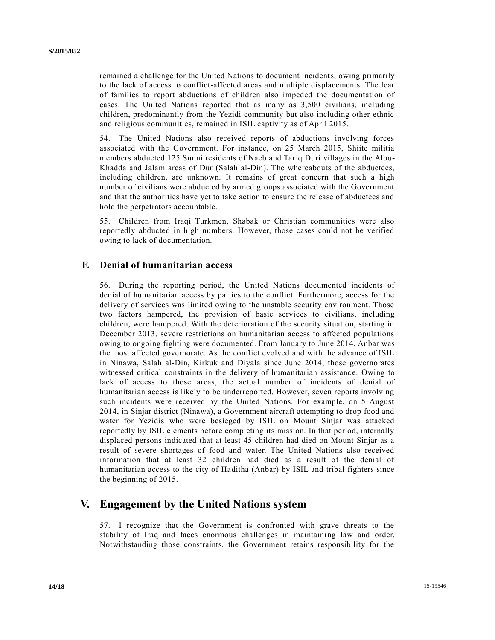remained a challenge for the United Nations to document incidents, owing primarily to the lack of access to conflict-affected areas and multiple displacements. The fear of families to report abductions of children also impeded the documentation of cases. The United Nations reported that as many as 3,500 civilians, including children, predominantly from the Yezidi community but also including other ethnic and religious communities, remained in ISIL captivity as of April 2015.

54. The United Nations also received reports of abductions involving forces associated with the Government. For instance, on 25 March 2015, Shiite militia members abducted 125 Sunni residents of Naeb and Tariq Duri villages in the Albu-Khadda and Jalam areas of Dur (Salah al-Din). The whereabouts of the abductees, including children, are unknown. It remains of great concern that such a high number of civilians were abducted by armed groups associated with the Government and that the authorities have yet to take action to ensure the release of abductees and hold the perpetrators accountable.

55. Children from Iraqi Turkmen, Shabak or Christian communities were also reportedly abducted in high numbers. However, those cases could not be verified owing to lack of documentation.

## **F. Denial of humanitarian access**

56. During the reporting period, the United Nations documented incidents of denial of humanitarian access by parties to the conflict. Furthermore, access for the delivery of services was limited owing to the unstable security environment. Those two factors hampered, the provision of basic services to civilians, including children, were hampered. With the deterioration of the security situation, starting in December 2013, severe restrictions on humanitarian access to affected populations owing to ongoing fighting were documented. From January to June 2014, Anbar was the most affected governorate. As the conflict evolved and with the advance of ISIL in Ninawa, Salah al-Din, Kirkuk and Diyala since June 2014, those governorates witnessed critical constraints in the delivery of humanitarian assistanc e. Owing to lack of access to those areas, the actual number of incidents of denial of humanitarian access is likely to be underreported. However, seven reports involving such incidents were received by the United Nations. For example, on 5 August 2014, in Sinjar district (Ninawa), a Government aircraft attempting to drop food and water for Yezidis who were besieged by ISIL on Mount Sinjar was attacked reportedly by ISIL elements before completing its mission. In that period, internally displaced persons indicated that at least 45 children had died on Mount Sinjar as a result of severe shortages of food and water. The United Nations also received information that at least 32 children had died as a result of the denial of humanitarian access to the city of Haditha (Anbar) by ISIL and tribal fighters since the beginning of 2015.

# **V. Engagement by the United Nations system**

57. I recognize that the Government is confronted with grave threats to the stability of Iraq and faces enormous challenges in maintaining law and order. Notwithstanding those constraints, the Government retains responsibility for the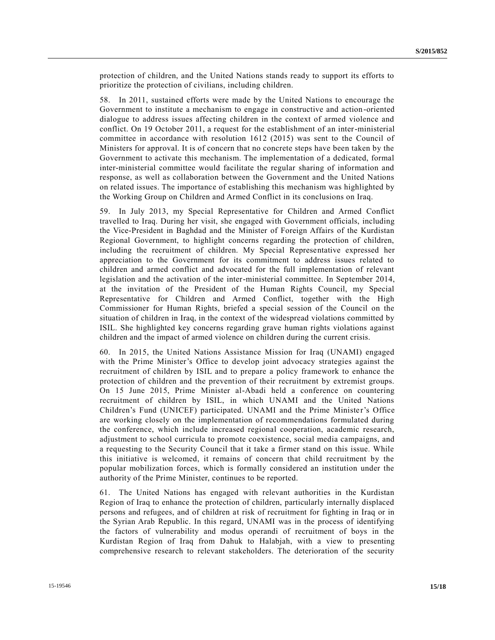protection of children, and the United Nations stands ready to support its efforts to prioritize the protection of civilians, including children.

58. In 2011, sustained efforts were made by the United Nations to encourage the Government to institute a mechanism to engage in constructive and action -oriented dialogue to address issues affecting children in the context of armed violence and conflict. On 19 October 2011, a request for the establishment of an inter-ministerial committee in accordance with resolution 1612 (2015) was sent to the Council of Ministers for approval. It is of concern that no concrete steps have been taken by the Government to activate this mechanism. The implementation of a dedicated, formal inter-ministerial committee would facilitate the regular sharing of information and response, as well as collaboration between the Government and the United Nations on related issues. The importance of establishing this mechanism was highlighted by the Working Group on Children and Armed Conflict in its conclusions on Iraq.

59. In July 2013, my Special Representative for Children and Armed Conflict travelled to Iraq. During her visit, she engaged with Government officials, including the Vice-President in Baghdad and the Minister of Foreign Affairs of the Kurdistan Regional Government, to highlight concerns regarding the protection of children, including the recruitment of children. My Special Representative expressed her appreciation to the Government for its commitment to address issues related to children and armed conflict and advocated for the full implementation of relevant legislation and the activation of the inter-ministerial committee. In September 2014, at the invitation of the President of the Human Rights Council, my Special Representative for Children and Armed Conflict, together with the High Commissioner for Human Rights, briefed a special session of the Council on the situation of children in Iraq, in the context of the widespread violations committed by ISIL. She highlighted key concerns regarding grave human rights violations against children and the impact of armed violence on children during the current crisis.

60. In 2015, the United Nations Assistance Mission for Iraq (UNAMI) engaged with the Prime Minister's Office to develop joint advocacy strategies against the recruitment of children by ISIL and to prepare a policy framework to enhance the protection of children and the prevention of their recruitment by extremist groups. On 15 June 2015, Prime Minister al-Abadi held a conference on countering recruitment of children by ISIL, in which UNAMI and the United Nations Children's Fund (UNICEF) participated. UNAMI and the Prime Minister's Office are working closely on the implementation of recommendations formulated during the conference, which include increased regional cooperation, academic research, adjustment to school curricula to promote coexistence, social media campaigns, and a requesting to the Security Council that it take a firmer stand on this issue. While this initiative is welcomed, it remains of concern that child recruitment by the popular mobilization forces, which is formally considered an institution under the authority of the Prime Minister, continues to be reported.

61. The United Nations has engaged with relevant authorities in the Kurdistan Region of Iraq to enhance the protection of children, particularly internally displaced persons and refugees, and of children at risk of recruitment for fighting in Iraq or in the Syrian Arab Republic. In this regard, UNAMI was in the process of identifying the factors of vulnerability and modus operandi of recruitment of boys in the Kurdistan Region of Iraq from Dahuk to Halabjah, with a view to presenting comprehensive research to relevant stakeholders. The deterioration of the security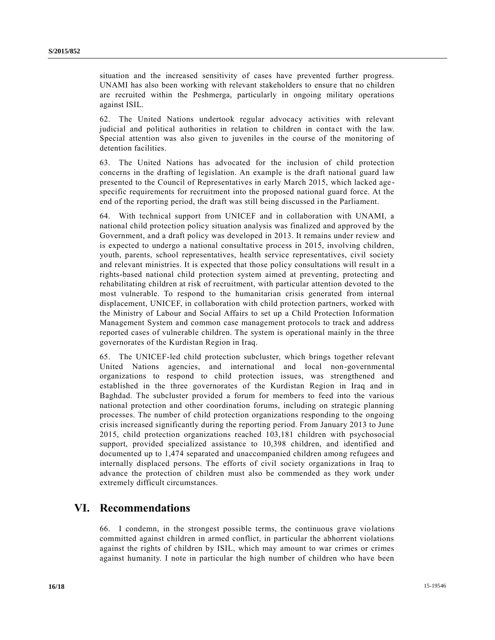situation and the increased sensitivity of cases have prevented further progress. UNAMI has also been working with relevant stakeholders to ensure that no children are recruited within the Peshmerga, particularly in ongoing military operations against ISIL.

62. The United Nations undertook regular advocacy activities with relevant judicial and political authorities in relation to children in contact with the law. Special attention was also given to juveniles in the course of the monitoring of detention facilities.

63. The United Nations has advocated for the inclusion of child protection concerns in the drafting of legislation. An example is the draft national guard law presented to the Council of Representatives in early March 2015, which lacked age specific requirements for recruitment into the proposed national guard force. At the end of the reporting period, the draft was still being discussed in the Parliament.

64. With technical support from UNICEF and in collaboration with UNAMI, a national child protection policy situation analysis was finalized and approved by the Government, and a draft policy was developed in 2013. It remains under review and is expected to undergo a national consultative process in 2015, involving children, youth, parents, school representatives, health service representatives, civil society and relevant ministries. It is expected that those policy consultations will result in a rights-based national child protection system aimed at preventing, protecting and rehabilitating children at risk of recruitment, with particular attention devoted to the most vulnerable. To respond to the humanitarian crisis generated from internal displacement, UNICEF, in collaboration with child protection partners, worked with the Ministry of Labour and Social Affairs to set up a Child Protection Information Management System and common case management protocols to track and address reported cases of vulnerable children. The system is operational mainly in the three governorates of the Kurdistan Region in Iraq.

65. The UNICEF-led child protection subcluster, which brings together relevant United Nations agencies, and international and local non-governmental organizations to respond to child protection issues, was strengthened and established in the three governorates of the Kurdistan Region in Iraq and in Baghdad. The subcluster provided a forum for members to feed into the various national protection and other coordination forums, including on strategic planning processes. The number of child protection organizations responding to the ongoing crisis increased significantly during the reporting period. From January 2013 to June 2015, child protection organizations reached 103,181 children with psychosocial support, provided specialized assistance to 10,398 children, and identified and documented up to 1,474 separated and unaccompanied children among refugees and internally displaced persons. The efforts of civil society organizations in Iraq to advance the protection of children must also be commended as they work under extremely difficult circumstances.

# **VI. Recommendations**

66. I condemn, in the strongest possible terms, the continuous grave violations committed against children in armed conflict, in particular the abhorrent violations against the rights of children by ISIL, which may amount to war crimes or crimes against humanity. I note in particular the high number of children who have been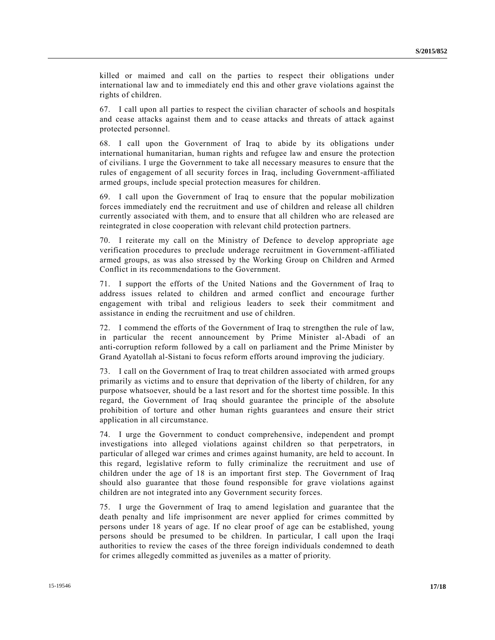killed or maimed and call on the parties to respect their obligations under international law and to immediately end this and other grave violations against the rights of children.

67. I call upon all parties to respect the civilian character of schools and hospitals and cease attacks against them and to cease attacks and threats of attack against protected personnel.

68. I call upon the Government of Iraq to abide by its obligations under international humanitarian, human rights and refugee law and ensure the protection of civilians. I urge the Government to take all necessary measures to ensure that the rules of engagement of all security forces in Iraq, including Government-affiliated armed groups, include special protection measures for children.

69. I call upon the Government of Iraq to ensure that the popular mobilization forces immediately end the recruitment and use of children and release all children currently associated with them, and to ensure that all children who are released are reintegrated in close cooperation with relevant child protection partners.

70. I reiterate my call on the Ministry of Defence to develop appropriate age verification procedures to preclude underage recruitment in Government-affiliated armed groups, as was also stressed by the Working Group on Children and Armed Conflict in its recommendations to the Government.

71. I support the efforts of the United Nations and the Government of Iraq to address issues related to children and armed conflict and encourage further engagement with tribal and religious leaders to seek their commitment and assistance in ending the recruitment and use of children.

72. I commend the efforts of the Government of Iraq to strengthen the rule of law, in particular the recent announcement by Prime Minister al-Abadi of an anti-corruption reform followed by a call on parliament and the Prime Minister by Grand Ayatollah al-Sistani to focus reform efforts around improving the judiciary.

73. I call on the Government of Iraq to treat children associated with armed groups primarily as victims and to ensure that deprivation of the liberty of children, for any purpose whatsoever, should be a last resort and for the shortest time possible. In this regard, the Government of Iraq should guarantee the principle of the absolute prohibition of torture and other human rights guarantees and ensure their strict application in all circumstance.

74. I urge the Government to conduct comprehensive, independent and prompt investigations into alleged violations against children so that perpetrators, in particular of alleged war crimes and crimes against humanity, are held to account. In this regard, legislative reform to fully criminalize the recruitment and use of children under the age of 18 is an important first step. The Government of Iraq should also guarantee that those found responsible for grave violations against children are not integrated into any Government security forces.

75. I urge the Government of Iraq to amend legislation and guarantee that the death penalty and life imprisonment are never applied for crimes committed by persons under 18 years of age. If no clear proof of age can be established, young persons should be presumed to be children. In particular, I call upon the Iraqi authorities to review the cases of the three foreign individuals condemned to death for crimes allegedly committed as juveniles as a matter of priority.